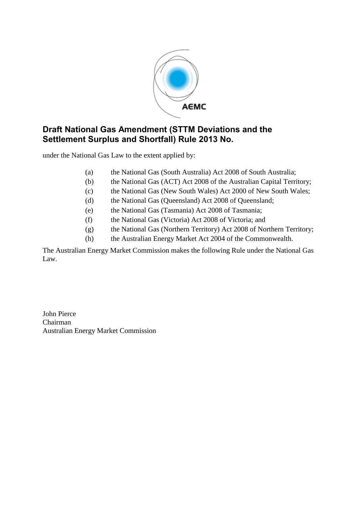

# **Draft National Gas Amendment (STTM Deviations and the Settlement Surplus and Shortfall) Rule 2013 No.**

under the National Gas Law to the extent applied by:

- (a) the National Gas (South Australia) Act 2008 of South Australia;
- (b) the National Gas (ACT) Act 2008 of the Australian Capital Territory;
- (c) the National Gas (New South Wales) Act 2000 of New South Wales;
- (d) the National Gas (Queensland) Act 2008 of Queensland;
- (e) the National Gas (Tasmania) Act 2008 of Tasmania;
- (f) the National Gas (Victoria) Act 2008 of Victoria; and
- (g) the National Gas (Northern Territory) Act 2008 of Northern Territory;
- (h) the Australian Energy Market Act 2004 of the Commonwealth.

The Australian Energy Market Commission makes the following Rule under the National Gas Law.

John Pierce Chairman Australian Energy Market Commission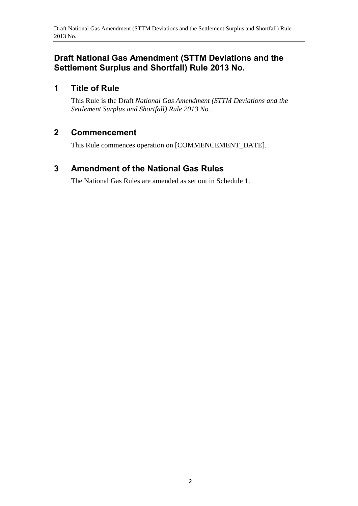# **Draft National Gas Amendment (STTM Deviations and the Settlement Surplus and Shortfall) Rule 2013 No.**

# **1 Title of Rule**

This Rule is the Draft *National Gas Amendment (STTM Deviations and the Settlement Surplus and Shortfall) Rule 2013 No.* .

## **2 Commencement**

This Rule commences operation on [COMMENCEMENT\_DATE].

# <span id="page-1-0"></span>**3 Amendment of the National Gas Rules**

The National Gas Rules are amended as set out in [Schedule 1.](#page-2-0)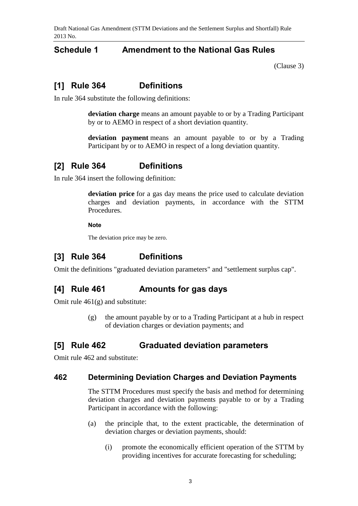Draft National Gas Amendment (STTM Deviations and the Settlement Surplus and Shortfall) Rule 2013 No.

### <span id="page-2-0"></span>**Schedule 1 Amendment to the National Gas Rules**

[\(Clause](#page-1-0) 3)

## **[1] Rule 364 Definitions**

In rule 364 substitute the following definitions:

**deviation charge** means an amount payable to or by a Trading Participant by or to AEMO in respect of a short deviation quantity.

**deviation payment** means an amount payable to or by a Trading Participant by or to AEMO in respect of a long deviation quantity.

## **[2] Rule 364 Definitions**

In rule 364 insert the following definition:

**deviation price** for a gas day means the price used to calculate deviation charges and deviation payments, in accordance with the STTM Procedures.

#### **Note**

The deviation price may be zero.

## **[3] Rule 364 Definitions**

Omit the definitions "graduated deviation parameters" and "settlement surplus cap".

#### **[4] Rule 461 Amounts for gas days**

Omit rule 461(g) and substitute:

(g) the amount payable by or to a Trading Participant at a hub in respect of deviation charges or deviation payments; and

#### **[5] Rule 462 Graduated deviation parameters**

Omit rule 462 and substitute:

#### **462 Determining Deviation Charges and Deviation Payments**

The STTM Procedures must specify the basis and method for determining deviation charges and deviation payments payable to or by a Trading Participant in accordance with the following:

- (a) the principle that, to the extent practicable, the determination of deviation charges or deviation payments, should:
	- (i) promote the economically efficient operation of the STTM by providing incentives for accurate forecasting for scheduling;